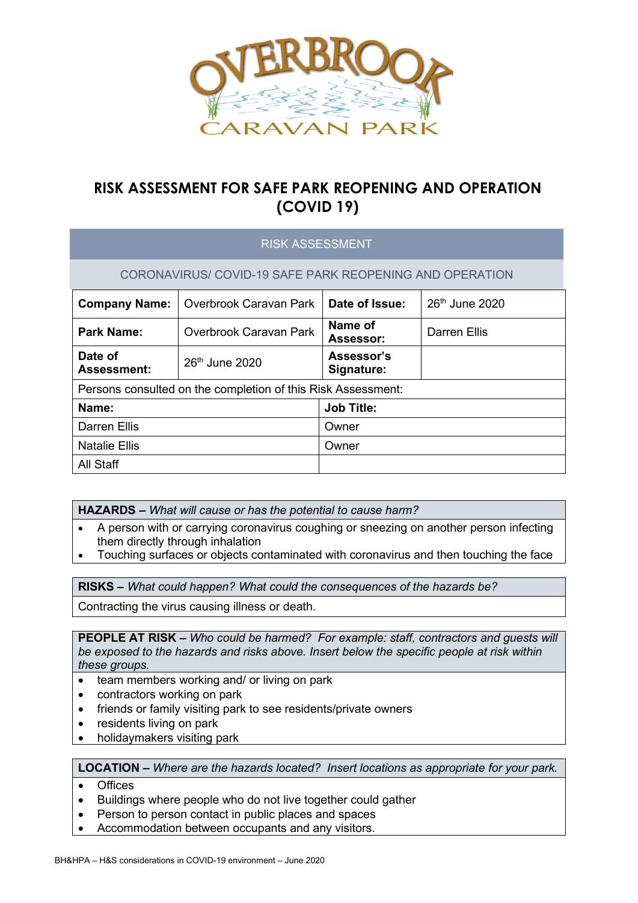

## **RISK ASSESSMENT FOR SAFE PARK REOPENING AND OPERATION (COVID 19)**

| <b>RISK ASSESSMENT</b>                                       |                                                        |                      |                            |  |  |  |  |
|--------------------------------------------------------------|--------------------------------------------------------|----------------------|----------------------------|--|--|--|--|
| CORONAVIRUS/ COVID-19 SAFE PARK REOPENING AND OPERATION      |                                                        |                      |                            |  |  |  |  |
| <b>Company Name:</b>                                         | Overbrook Caravan Park                                 | Date of Issue:       | 26 <sup>th</sup> June 2020 |  |  |  |  |
| <b>Park Name:</b>                                            | <b>Overbrook Caravan Park</b>                          | Name of<br>Assessor: | Darren Ellis               |  |  |  |  |
| Date of<br><b>Assessment:</b>                                | Assessor's<br>26 <sup>th</sup> June 2020<br>Signature: |                      |                            |  |  |  |  |
| Persons consulted on the completion of this Risk Assessment: |                                                        |                      |                            |  |  |  |  |
| Name:                                                        |                                                        | <b>Job Title:</b>    |                            |  |  |  |  |
| <b>Darren Ellis</b>                                          |                                                        | Owner                |                            |  |  |  |  |
| <b>Natalie Ellis</b>                                         |                                                        | Owner                |                            |  |  |  |  |
| All Staff                                                    |                                                        |                      |                            |  |  |  |  |

**HAZARDS –** *What will cause or has the potential to cause harm?*

- A person with or carrying coronavirus coughing or sneezing on another person infecting them directly through inhalation
- Touching surfaces or objects contaminated with coronavirus and then touching the face

**RISKS –** *What could happen? What could the consequences of the hazards be?*

Contracting the virus causing illness or death.

**PEOPLE AT RISK –** *Who could be harmed? For example: staff, contractors and guests will be exposed to the hazards and risks above. Insert below the specific people at risk within these groups.*

- team members working and/ or living on park
- contractors working on park
- friends or family visiting park to see residents/private owners
- residents living on park
- holidaymakers visiting park

**LOCATION –** *Where are the hazards located? Insert locations as appropriate for your park.*

- Offices
- Buildings where people who do not live together could gather
- Person to person contact in public places and spaces
- Accommodation between occupants and any visitors.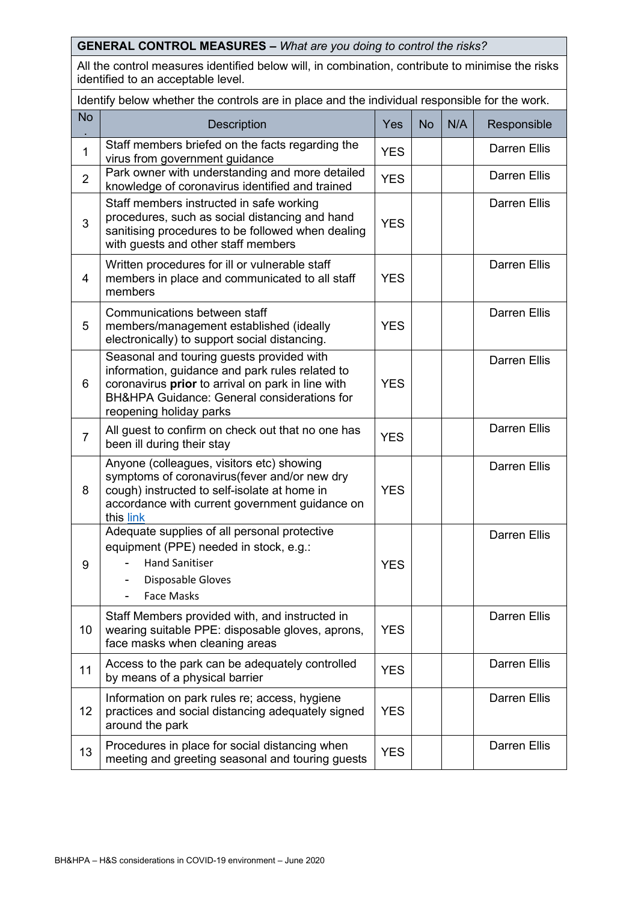**GENERAL CONTROL MEASURES –** *What are you doing to control the risks?*

All the control measures identified below will, in combination, contribute to minimise the risks identified to an acceptable level.

| Identify below whether the controls are in place and the individual responsible for the work. |                                                                                                                                                                                                                                        |            |           |                     |                     |  |
|-----------------------------------------------------------------------------------------------|----------------------------------------------------------------------------------------------------------------------------------------------------------------------------------------------------------------------------------------|------------|-----------|---------------------|---------------------|--|
| <b>No</b>                                                                                     | <b>Description</b>                                                                                                                                                                                                                     |            | <b>No</b> | N/A                 | Responsible         |  |
| $\mathbf{1}$                                                                                  | Staff members briefed on the facts regarding the<br>virus from government guidance                                                                                                                                                     | <b>YES</b> |           |                     | <b>Darren Ellis</b> |  |
| $\overline{2}$                                                                                | Park owner with understanding and more detailed<br><b>YES</b><br>knowledge of coronavirus identified and trained                                                                                                                       |            |           |                     | <b>Darren Ellis</b> |  |
| 3                                                                                             | Staff members instructed in safe working<br>procedures, such as social distancing and hand<br><b>YES</b><br>sanitising procedures to be followed when dealing<br>with guests and other staff members                                   |            |           | <b>Darren Ellis</b> |                     |  |
| $\overline{4}$                                                                                | Written procedures for ill or vulnerable staff<br>members in place and communicated to all staff<br><b>YES</b><br>members                                                                                                              |            |           |                     | <b>Darren Ellis</b> |  |
| 5                                                                                             | Communications between staff<br>members/management established (ideally<br>electronically) to support social distancing.                                                                                                               | <b>YES</b> |           |                     | <b>Darren Ellis</b> |  |
| 6                                                                                             | Seasonal and touring guests provided with<br>information, guidance and park rules related to<br>coronavirus prior to arrival on park in line with<br><b>BH&amp;HPA Guidance: General considerations for</b><br>reopening holiday parks | <b>YES</b> |           |                     | <b>Darren Ellis</b> |  |
| $\overline{7}$                                                                                | All guest to confirm on check out that no one has<br>been ill during their stay                                                                                                                                                        | <b>YES</b> |           |                     | <b>Darren Ellis</b> |  |
| 8                                                                                             | Anyone (colleagues, visitors etc) showing<br>symptoms of coronavirus(fever and/or new dry<br>cough) instructed to self-isolate at home in<br>accordance with current government guidance on<br>this link                               | <b>YES</b> |           |                     | <b>Darren Ellis</b> |  |
| 9                                                                                             | Adequate supplies of all personal protective<br>equipment (PPE) needed in stock, e.g.:<br><b>Hand Sanitiser</b><br>Disposable Gloves<br><b>Face Masks</b>                                                                              | <b>YES</b> |           |                     | <b>Darren Ellis</b> |  |
| 10                                                                                            | Staff Members provided with, and instructed in<br>wearing suitable PPE: disposable gloves, aprons,<br>face masks when cleaning areas                                                                                                   | <b>YES</b> |           |                     | <b>Darren Ellis</b> |  |
| 11                                                                                            | Access to the park can be adequately controlled<br>by means of a physical barrier                                                                                                                                                      | <b>YES</b> |           |                     | <b>Darren Ellis</b> |  |
| 12                                                                                            | Information on park rules re; access, hygiene<br>practices and social distancing adequately signed<br>around the park                                                                                                                  | <b>YES</b> |           |                     | <b>Darren Ellis</b> |  |
| 13                                                                                            | Procedures in place for social distancing when<br>meeting and greeting seasonal and touring guests                                                                                                                                     | <b>YES</b> |           |                     | Darren Ellis        |  |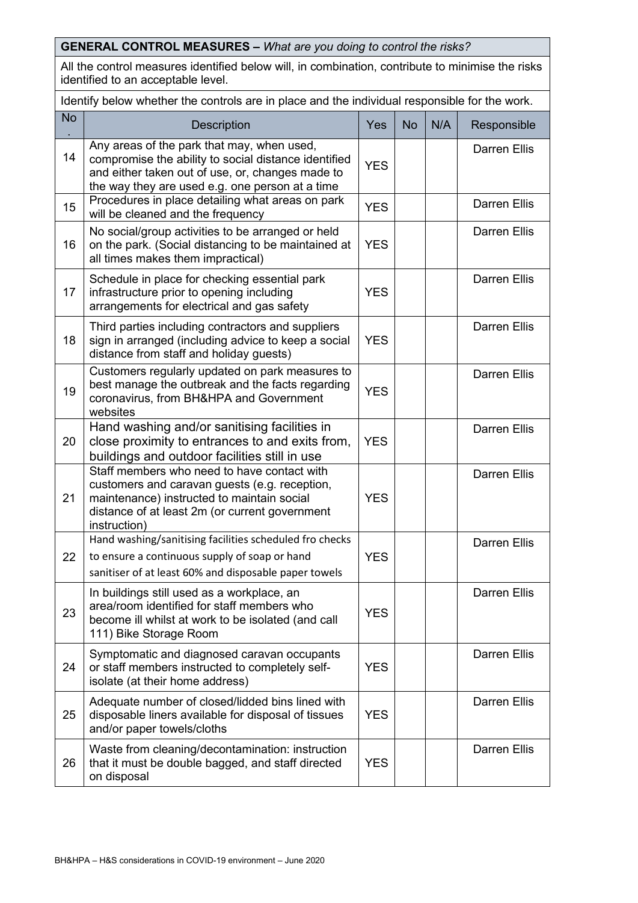**GENERAL CONTROL MEASURES –** *What are you doing to control the risks?*

All the control measures identified below will, in combination, contribute to minimise the risks identified to an acceptable level.

|           | Identify below whether the controls are in place and the individual responsible for the work.                                                                                                                |            |                     |     |                     |  |  |  |
|-----------|--------------------------------------------------------------------------------------------------------------------------------------------------------------------------------------------------------------|------------|---------------------|-----|---------------------|--|--|--|
| <b>No</b> | <b>Description</b>                                                                                                                                                                                           | Yes        | <b>No</b>           | N/A | Responsible         |  |  |  |
| 14        | Any areas of the park that may, when used,<br>compromise the ability to social distance identified<br>and either taken out of use, or, changes made to<br>the way they are used e.g. one person at a time    |            |                     |     | <b>Darren Ellis</b> |  |  |  |
| 15        | Procedures in place detailing what areas on park<br>will be cleaned and the frequency                                                                                                                        | <b>YES</b> |                     |     | <b>Darren Ellis</b> |  |  |  |
| 16        | No social/group activities to be arranged or held<br>on the park. (Social distancing to be maintained at<br>all times makes them impractical)                                                                | <b>YES</b> |                     |     | Darren Ellis        |  |  |  |
| 17        | Schedule in place for checking essential park<br>infrastructure prior to opening including<br><b>YES</b><br>arrangements for electrical and gas safety                                                       |            | <b>Darren Ellis</b> |     |                     |  |  |  |
| 18        | Third parties including contractors and suppliers<br>sign in arranged (including advice to keep a social<br>distance from staff and holiday guests)                                                          | <b>YES</b> |                     |     | <b>Darren Ellis</b> |  |  |  |
| 19        | Customers regularly updated on park measures to<br>best manage the outbreak and the facts regarding<br>coronavirus, from BH&HPA and Government<br>websites                                                   | <b>YES</b> |                     |     | <b>Darren Ellis</b> |  |  |  |
| 20        | Hand washing and/or sanitising facilities in<br>close proximity to entrances to and exits from,<br>buildings and outdoor facilities still in use                                                             | <b>YES</b> |                     |     | <b>Darren Ellis</b> |  |  |  |
| 21        | Staff members who need to have contact with<br>customers and caravan guests (e.g. reception,<br>maintenance) instructed to maintain social<br>distance of at least 2m (or current government<br>instruction) | <b>YES</b> |                     |     | <b>Darren Ellis</b> |  |  |  |
| 22        | Hand washing/sanitising facilities scheduled fro checks<br>to ensure a continuous supply of soap or hand<br>sanitiser of at least 60% and disposable paper towels                                            | <b>YES</b> |                     |     | <b>Darren Ellis</b> |  |  |  |
| 23        | In buildings still used as a workplace, an<br>area/room identified for staff members who<br>become ill whilst at work to be isolated (and call<br>111) Bike Storage Room                                     | <b>YES</b> |                     |     | <b>Darren Ellis</b> |  |  |  |
| 24        | Symptomatic and diagnosed caravan occupants<br>or staff members instructed to completely self-<br>isolate (at their home address)                                                                            | <b>YES</b> |                     |     | <b>Darren Ellis</b> |  |  |  |
| 25        | Adequate number of closed/lidded bins lined with<br>disposable liners available for disposal of tissues<br>and/or paper towels/cloths                                                                        | <b>YES</b> |                     |     | <b>Darren Ellis</b> |  |  |  |
| 26        | Waste from cleaning/decontamination: instruction<br>that it must be double bagged, and staff directed<br>on disposal                                                                                         | <b>YES</b> |                     |     | <b>Darren Ellis</b> |  |  |  |